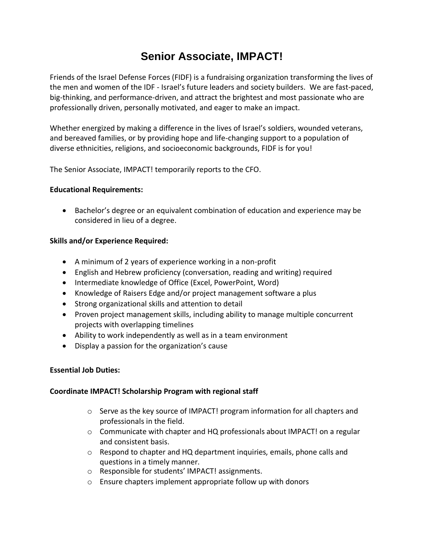# **Senior Associate, IMPACT!**

Friends of the Israel Defense Forces (FIDF) is a fundraising organization transforming the lives of the men and women of the IDF - Israel's future leaders and society builders. We are fast-paced, big-thinking, and performance-driven, and attract the brightest and most passionate who are professionally driven, personally motivated, and eager to make an impact.

Whether energized by making a difference in the lives of Israel's soldiers, wounded veterans, and bereaved families, or by providing hope and life-changing support to a population of diverse ethnicities, religions, and socioeconomic backgrounds, FIDF is for you!

The Senior Associate, IMPACT! temporarily reports to the CFO.

# **Educational Requirements:**

• Bachelor's degree or an equivalent combination of education and experience may be considered in lieu of a degree.

# **Skills and/or Experience Required:**

- A minimum of 2 years of experience working in a non-profit
- English and Hebrew proficiency (conversation, reading and writing) required
- Intermediate knowledge of Office (Excel, PowerPoint, Word)
- Knowledge of Raisers Edge and/or project management software a plus
- Strong organizational skills and attention to detail
- Proven project management skills, including ability to manage multiple concurrent projects with overlapping timelines
- Ability to work independently as well as in a team environment
- Display a passion for the organization's cause

## **Essential Job Duties:**

## **Coordinate IMPACT! Scholarship Program with regional staff**

- $\circ$  Serve as the key source of IMPACT! program information for all chapters and professionals in the field.
- $\circ$  Communicate with chapter and HQ professionals about IMPACT! on a regular and consistent basis.
- $\circ$  Respond to chapter and HQ department inquiries, emails, phone calls and questions in a timely manner.
- o Responsible for students' IMPACT! assignments.
- o Ensure chapters implement appropriate follow up with donors